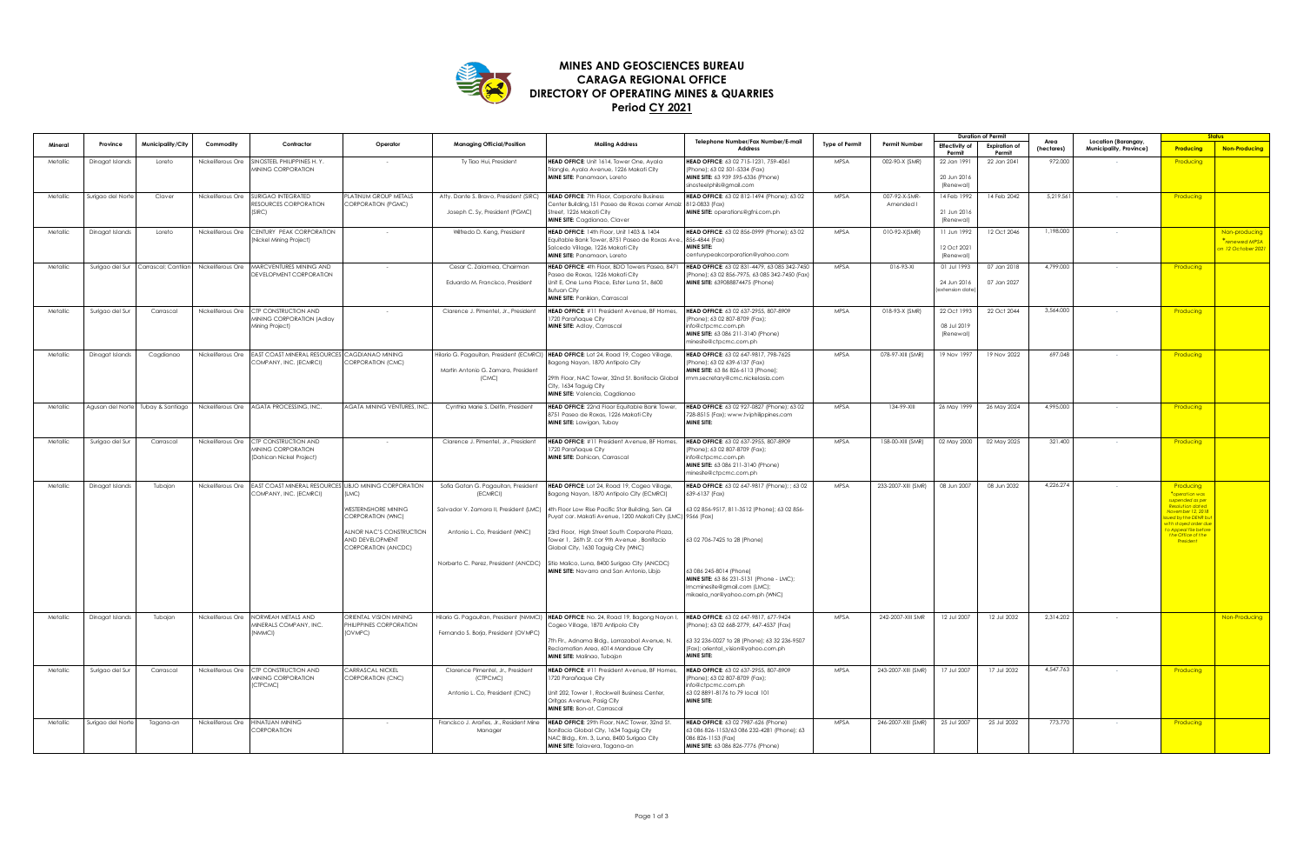

## **Period CY 2021 DIRECTORY OF OPERATING MINES & QUARRIES CARAGA REGIONAL OFFICE MINES AND GEOSCIENCES BUREAU**

|          |                   |                                   |                   |                                                                              |                                                                                         |                                                                                           |                                                                                                                                                                                                                                                   | Telephone Number/Fax Number/E-mail                                                                                                                                                   |                       |                            | <b>Duration of Permit</b>                     |                                | Area       | Location (Barangay,     | <b>Status</b>                                                                                  |                                                      |
|----------|-------------------|-----------------------------------|-------------------|------------------------------------------------------------------------------|-----------------------------------------------------------------------------------------|-------------------------------------------------------------------------------------------|---------------------------------------------------------------------------------------------------------------------------------------------------------------------------------------------------------------------------------------------------|--------------------------------------------------------------------------------------------------------------------------------------------------------------------------------------|-----------------------|----------------------------|-----------------------------------------------|--------------------------------|------------|-------------------------|------------------------------------------------------------------------------------------------|------------------------------------------------------|
|          | Province          | Municipality/City                 | Commodity         | Contractor                                                                   | Operator                                                                                | Managing Official/Position                                                                | <b>Mailing Address</b>                                                                                                                                                                                                                            | Address                                                                                                                                                                              | <b>Type of Permit</b> | <b>Permit Number</b>       | Effectivity of<br>Permit                      | <b>Expiration of</b><br>Permit | (hectares) | Municipality, Province) | Producing                                                                                      | <b>Non-Producing</b>                                 |
| Metallic | Dinagat Islands   | Loreto                            | Nickeliferous Ore | INOSTEEL PHILIPPINES H.Y.<br><b><i>INNING CORPORATION</i></b>                |                                                                                         | Ty Tiao Hui, President                                                                    | HEAD OFFICE: Unit 1614, Tower One, Ayala<br>Triangle, Ayala Avenue, 1226 Makati City<br>MINE SITE: Panamaon, Loreto                                                                                                                               | HEAD OFFICE: 63 02 715-1231, 759-4061<br>Phone); 63 02 501-5334 (Fax)<br>MINE SITE: 63 939 595-6336 (Phone)<br>sinosteelphils@gmail.com                                              | MPSA                  | 002-90-X (SMR)             | 22 Jan 1991<br>20 Jun 2016<br>(Renewal)       | 22 Jan 2041                    | 972.000    |                         | Producing                                                                                      |                                                      |
| Metallic | Surigao del Nort  | Claver                            | Nickeliferous Ore | SURIGAO INTEGRATED<br>RESOURCES CORPORATION<br>SIRC1                         | PLATINUM GROUP METALS<br>CORPORATION (PGMC)                                             | Atty. Dante S. Bravo, President (SIRC)<br>Joseph C. Sy, President (PGMC)                  | <b>HEAD OFFICE:</b> 7th Floor, Corporate Business<br>Center Building, 151 Paseo de Roxas corner Arnaiz<br>Street, 1226 Makati City<br>MINE SITE: Cagdianao, Claver                                                                                | HEAD OFFICE: 63 02 812-1494 (Phone): 63 02<br>812-0833 (Fax)<br>MINE SITE: operations@gfni.com.ph                                                                                    | MPSA                  | 007-92-X-SMR-<br>Amended I | 14 Feb 1992<br>21 Jun 2016<br>(Renewal)       | 14 Feb 2042                    | 5,219.56   |                         | Producing                                                                                      |                                                      |
| Metallic | Dinagat Islands   | Loreto                            | Nickeliferous Ore | CENTURY PEAK CORPORATION<br>Nickel Mining Project)                           |                                                                                         | Wilfredo D. Keng, President                                                               | HEAD OFFICE: 14th Floor, Unit 1403 & 1404<br>Equitable Bank Tower, 8751 Paseo de Roxas Ave<br>Salcedo Village, 1226 Makati City<br>MINE SITE: Panamaon, Loreto                                                                                    | HEAD OFFICE: 63 02 856-0999 (Phone); 63 02<br>856-4844 (Fax)<br><b>MINE SITE:</b><br>enturypeakcorporation@yahoo.com                                                                 | MPSA                  | 010-92-X(SMR)              | 11 Jun 1992<br>12 Oct 2021<br>(Renewal)       | 12 Oct 2046                    | 1.198.000  |                         |                                                                                                | Non-producing<br>*renewed MPSA<br>on 12 October 2021 |
| Metallic | Surigao del Sur   | Carrascal; Cantilan               |                   | Nickeliferous Ore MARCVENTURES MINING AND<br>DEVELOPMENT CORPORATION         |                                                                                         | Cesar C. Zalamea, Chairman<br>Eduardo M. Francisco, President                             | HEAD OFFICE: 4th Floor, BDO Towers Paseo, 8471<br>aseo de Roxas, 1226 Makati City<br>Unit E, One Luna Place, Ester Luna St., 8600<br><b>Butuan City</b><br>MINE SITE: Panikian, Carrascal                                                         | HEAD OFFICE: 63 02 831-4479, 63 085 342-7450<br>Phone); 63 02 856-7975, 63 085 342-7450 (Fax)<br>MINE SITE: 639088874475 (Phone)                                                     | MPSA                  | 016-93-XI                  | 01 Jul 1993<br>24 Jun 2016<br>lextension date | 07 Jan 2018<br>07 Jan 2027     | 4,799.000  |                         | Producing                                                                                      |                                                      |
| Metallic | Surigao del Sur   | Carrascal                         | Nickeliferous Ore | CTP CONSTRUCTION AND<br><b>WINING CORPORATION (Adlay</b><br>Vining Project)  |                                                                                         | Clarence J. Pimentel, Jr., President                                                      | HEAD OFFICE: #11 President Avenue, BF Homes,<br>720 Parañaque City<br>MINE SITE: Adlay, Carrascal                                                                                                                                                 | HEAD OFFICE: 63 02 637-2955, 807-8909<br>Phone): 63 02 807-8709 (Fax):<br>to@ctpcmc.com.ph<br>MINE SITE: 63 086 211-3140 (Phone)<br>minesite@ctpcmc.com.ph                           | <b>MPSA</b>           | 018-93-X (SMR)             | 22 Oct 1993<br>08 Jul 2019<br>(Renewal)       | 22 Oct 2044                    | 3,564.000  |                         | Producing                                                                                      |                                                      |
| Metallic | Dinagat Islands   | Cagdianao                         | Nickeliferous Ore | EAST COAST MINERAL RESOURCE<br>COMPANY, INC. (ECMRCI)                        | CAGDIANAO MINING<br>CORPORATION (CMC)                                                   | Martin Antonio G. Zamora, President<br>(CMC)                                              | Hilario G. Pagauitan, President (ECMRCI) HEAD OFFICE: Lot 24, Road 19, Cogeo Village,<br>agong Nayon, 1870 Antipolo City<br>29th Floor, NAC Tower, 32nd St. Bonifacio Global<br>City, 1634 Taguig City<br>MINE SITE: Valencia, Cagdianao          | HEAD OFFICE: 63 02 647-9817, 798-7625<br>Phone); 63 02 639-6137 (Fax)<br>MINE SITE: 63 86 826-6113 (Phone);<br>mm.secretary@cmc.nickelasia.com                                       | MPSA                  | 078-97-XIII (SMR)          | 19 Nov 1997                                   | 19 Nov 2022                    | 697.048    |                         | Producing                                                                                      |                                                      |
| Metallic |                   | Agusan del Norte Tubay & Santiago |                   | Nickeliferous Ore AGATA PROCESSING, INC.                                     | AGATA MINING VENTURES, INC.                                                             | Cynthia Marie S. Delfin, President                                                        | HEAD OFFICE: 22nd Floor Equitable Bank Tower,<br>8751 Paseo de Roxas, 1226 Makati City<br>MINE SITE: Lawigan, Tubay                                                                                                                               | HEAD OFFICE: 63 02 927-0827 (Phone): 63 02<br>728-8515 (Fax); www.tviphilippines.com<br><b>MINE SITE:</b>                                                                            | MPSA                  | 134-99-XIII                | 26 May 1999                                   | 26 May 2024                    | 4,995.000  |                         | Producing                                                                                      |                                                      |
| Metallic | Surigao del Sur   | Carrascal                         | Nickeliferous Ore | CTP CONSTRUCTION AND<br><b>WINING CORPORATION</b><br>Dahican Nickel Project) |                                                                                         | Clarence J. Pimentel, Jr., President                                                      | HEAD OFFICE: #11 President Avenue, BF Homes,<br>720 Parañaque City<br><b>MINE SITE:</b> Dahican, Carrascal                                                                                                                                        | HEAD OFFICE: 63 02 637-2955, 807-8909<br>Phone): 63 02 807-8709 (Fax):<br>nfo@ctpcmc.com.ph<br>MINE SITE: 63 086 211-3140 (Phone)<br>minesite@ctpcmc.com.ph                          | MPSA                  | 158-00-XIII (SMR)          | 02 May 2000                                   | 02 May 2025                    | 321.400    |                         | Producing                                                                                      |                                                      |
| Metallic | Dinagat Islands   | Tubajon                           | Nickeliferous Ore | <b>EAST COAST MINERAL RESOURCE</b><br>OMPANY, INC. (ECMRCI)                  | LIBJO MINING CORPORATION<br>[1 M C]<br>WESTERNSHORE MINING                              | Sofia Gatan G. Pagauitan, President<br>(ECMRCI)<br>Salvador V. Zamora II, President (LMC) | HEAD OFFICE: Lot 24, Road 19, Cogeo Village,<br>Bagong Nayon, 1870 Antipolo City (ECMRCI)<br>4th Floor Low Rise Pacific Star Building, Sen. Gil                                                                                                   | HEAD OFFICE: 63 02 647-9817 (Phone); ; 63 02<br>639-6137 (Fax)<br>63 02 856-9517, 811-3512 (Phone); 63 02 856-                                                                       | MPSA                  | 233-2007-XIII (SMR)        | 08 Jun 2007                                   | 08 Jun 2032                    | 4,226.274  |                         | Producing<br>*operation was<br>suspended as per<br><b>Resolution dated</b><br>ovember 12, 2018 |                                                      |
|          |                   |                                   |                   |                                                                              | CORPORATION (WNC)<br>ALNOR NAC'S CONSTRUCTION<br>AND DEVELOPMENT<br>CORPORATION (ANCDC) | Antonio L. Co, President (WNC)                                                            | Puyat cor. Makati Avenue, 1200 Makati City (LMC)<br>23rd Floor, High Street South Corporate Plaza,<br>Tower 1, 26th St. cor 9th Avenue, Bonifacio<br>Global City, 1630 Taguig City (WNC)                                                          | 9566 (Fax)<br>63 02 706-7425 to 28 (Phone)                                                                                                                                           |                       |                            |                                               |                                |            |                         | ed by the DENR b<br>th stayed order du<br>Appeal file befo<br>the Office of the<br>President   |                                                      |
|          |                   |                                   |                   |                                                                              |                                                                                         | Norberto C. Perez, President (ANCDC)                                                      | Sitio Malico, Luna, 8400 Surigao City (ANCDC)<br>MINE SITE: Navarro and San Antonio, Libjo                                                                                                                                                        | 63 086 245-8014 (Phone)<br>MINE SITE: 63 86 231-5131 (Phone - LMC);<br>mcminesite@gmail.com (LMC);<br>mikaela_nor@yahoo.com.ph (WNC)                                                 |                       |                            |                                               |                                |            |                         |                                                                                                |                                                      |
| Metallic | Dinagat Islands   | Tubajon                           | Nickeliferous Ore | NORWEAH METALS AND<br><b>WINERALS COMPANY, INC.</b><br><b>VMMCII</b>         | ORIENTAL VISION MINING<br>PHILIPPINES CORPORATION<br>(OVMPC)                            | Fernando S. Borja, President (OVMPC)                                                      | Hilario G. Pagauitan, President (NMMCI) HEAD OFFICE: No. 24, Road 19, Bagong Nayon I,<br>Cogeo Village, 1870 Antipolo City<br>7th Fir., Adnama Bidg., Larrazabal Avenue, N.<br>Reclamation Area, 6014 Mandaue City<br>MINE SITE: Malinao, Tubajon | HEAD OFFICE: 63 02 647-9817, 677-9424<br>Phone); 63 02 668-2779, 647-4537 (Fax)<br>63 32 236-0027 to 28 (Phone); 63 32 236-9507<br>(Fax); oriental_vision@yahoo.com.ph<br>MINE SITE: | <b>MPSA</b>           | 242-2007-XIII SMR          | 12 Jul 2007                                   | 12 Jul 2032                    | 2,314.202  |                         |                                                                                                | Non-Producing                                        |
| Metallic | Surigao del Sur   | Carrascal                         | Nickeliferous Ore | CTP CONSTRUCTION AND<br><b>MINING CORPORATION</b><br>CTPCMC)                 | CARRASCAL NICKEL<br>CORPORATION (CNC)                                                   | Clarence Pimentel, Jr., President<br>(CTPCMC)<br>Antonio L. Co, President (CNC)           | HEAD OFFICE: #11 President Avenue, BF Homes,<br>1720 Parañaque City<br>Unit 202, Tower 1, Rockwell Business Center,<br>Oritgas Avenue, Pasig City<br>MINE SITE: Bon-ot, Carrascal                                                                 | HEAD OFFICE: 63 02 637-2955, 807-8909<br>(Phone); 63 02 807-8709 (Fax);<br>nfo@ctpcmc.com.ph<br>63 02 8891-8176 to 79 local 101<br>MINE SITE:                                        | MPSA                  | 243-2007-XIII (SMR)        | 17 Jul 2007                                   | 17 Jul 2032                    | 4,547.763  |                         | Producing                                                                                      |                                                      |
| Metallic | Surigao del Norte | Tagana-an                         | Nickeliferous Ore | <b>INATUAN MINING</b><br>ORPORATION                                          |                                                                                         | Francisco J. Arañes, Jr., Resident Mine<br>Manager                                        | HEAD OFFICE: 29th Floor, NAC Tower, 32nd St.<br>Bonifacio Global City, 1634 Taguig City<br>NAC Bldg., Km. 3, Luna, 8400 Surigao City<br>MINE SITE: Talavera, Tagana-an                                                                            | HEAD OFFICE: 63 02 7987-626 (Phone)<br>3 086 826-1153/63 086 232-4281 (Phone); 63<br>086 826-1153 (Fax)<br>MINE SITE: 63 086 826-7776 (Phone)                                        | MPSA                  | 246-2007-XIII (SMR)        | 25 Jul 2007                                   | 25 Jul 2032                    | 773.770    |                         | Producing                                                                                      |                                                      |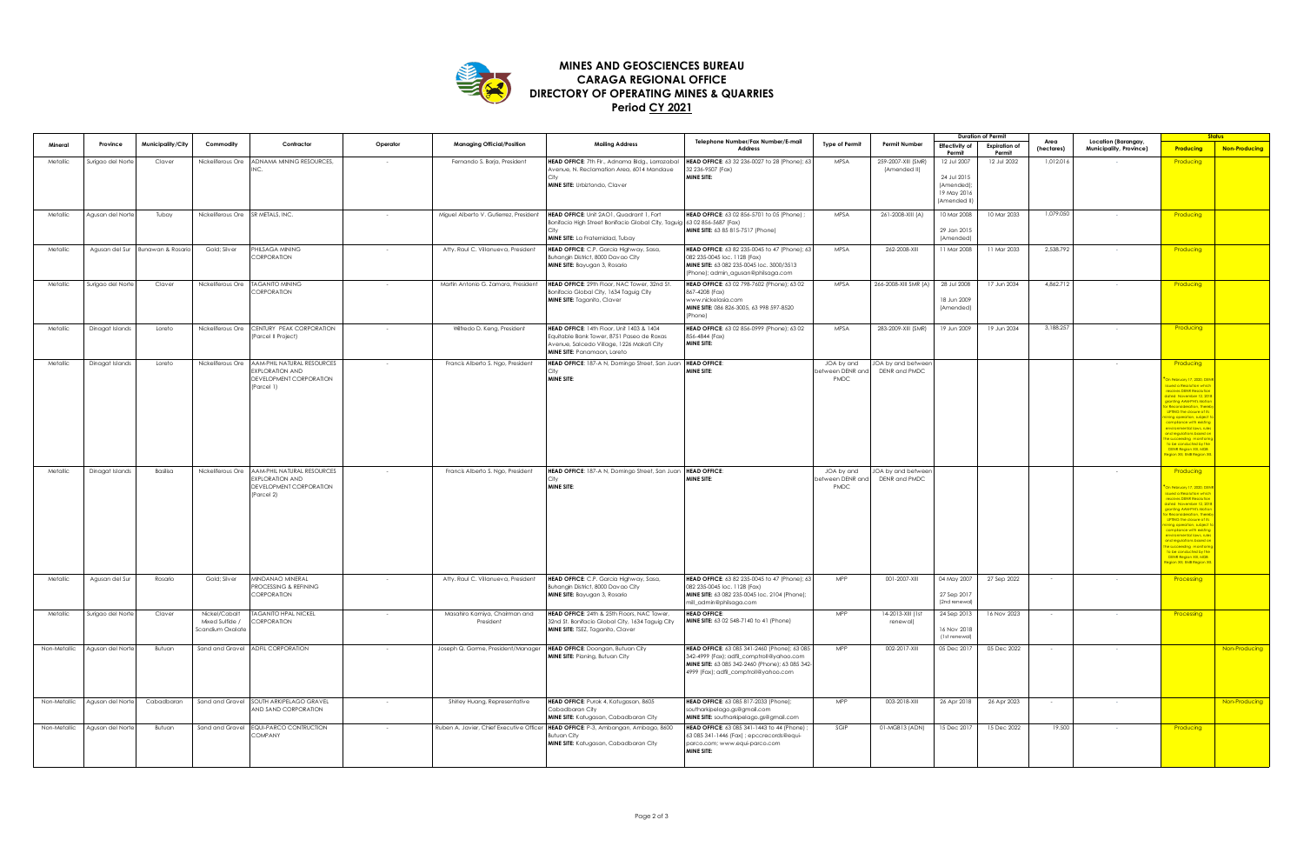

## **Period CY 2021 DIRECTORY OF OPERATING MINES & QUARRIES CARAGA REGIONAL OFFICE MINES AND GEOSCIENCES BUREAU**

|              |                   |                   |                                                      |                                                                                                          |          |                                            |                                                                                                                                                                    |                                                                                                                                                                                       |                                       |                                    | <b>Duration of Permit</b>                                              |                                |                    |                                                |                                                                                                                                                                                                                                                                                                                                                                    | <b>Status</b>        |  |
|--------------|-------------------|-------------------|------------------------------------------------------|----------------------------------------------------------------------------------------------------------|----------|--------------------------------------------|--------------------------------------------------------------------------------------------------------------------------------------------------------------------|---------------------------------------------------------------------------------------------------------------------------------------------------------------------------------------|---------------------------------------|------------------------------------|------------------------------------------------------------------------|--------------------------------|--------------------|------------------------------------------------|--------------------------------------------------------------------------------------------------------------------------------------------------------------------------------------------------------------------------------------------------------------------------------------------------------------------------------------------------------------------|----------------------|--|
| Minera       | Province          | Municipality/City | Commodity                                            | Contractor                                                                                               | Operator | Managing Official/Position                 | <b>Mailing Address</b>                                                                                                                                             | Telephone Number/Fax Number/E-mail<br>Address                                                                                                                                         | <b>Type of Permit</b>                 | <b>Permit Number</b>               | Effectivity of<br>Permit                                               | <b>Expiration of</b><br>Permit | Area<br>(hectares) | Location (Barangay,<br>Municipality, Province) | Producing                                                                                                                                                                                                                                                                                                                                                          | <b>Non-Producing</b> |  |
| Metallic     | Surigao del Norte | Claver            | Nickeliferous Ore                                    | <b>ADNAMA MINING RESOURCES</b>                                                                           |          | Fernando S. Borja, President               | HEAD OFFICE: 7th Fir., Adnama Bidg., Larrazabal<br>Avenue, N. Reclamation Area, 6014 Mandaue<br>MINE SITE: Urbiztondo, Claver                                      | HEAD OFFICE: 63 32 236-0027 to 28 (Phone); 63<br>32 236-9507 (Fax)<br>MINE SITE:                                                                                                      | MPSA                                  | 259-2007-XIII (SMR<br>(Amended II) | 12 Jul 2007<br>24 Jul 2015<br>(Amended);<br>19 May 2016<br>(Amended II | 12 Jul 2032                    | 1,012.01           |                                                | Producing                                                                                                                                                                                                                                                                                                                                                          |                      |  |
| Metallic     | Agusan del Norte  | Tubay             | Nickeliferous Ore SR METALS, INC.                    |                                                                                                          |          | Miguel Alberto V. Gutierrez, President     | HEAD OFFICE: Unit 2AO1, Quadrant 1, Fort<br>Bonifacio High Street Bonifacio Global City, Taguig<br>MINE SITE: La Fraternidad, Tubay                                | HEAD OFFICE: 63 02 856-5701 to 05 (Phone) ;<br>63 02 856-5687 (Fax)<br>MINE SITE: 63 85 815-7517 (Phone)                                                                              | MPSA                                  | 261-2008-XIII (A)                  | 10 Mar 2008<br>29 Jan 2015<br>(Amended)                                | 10 Mar 2033                    | 1,079.050          |                                                | Producing                                                                                                                                                                                                                                                                                                                                                          |                      |  |
| Metallic     | Agusan del Sur    | Bunawan & Rosari  | Gold; Silver                                         | HIISAGA MINING<br>CORPORATION                                                                            |          | Atty. Raul C. Villanueva, President        | HEAD OFFICE: C.P. Garcia Highway, Sasa,<br>Buhangin District, 8000 Davao City<br>MINE SITE: Bayugan 3, Rosario                                                     | HEAD OFFICE: 63 82 235-0045 to 47 (Phone); 63<br>082 235-0045 loc. 1128 (Fax)<br>MINE SITE: 63 082 235-0045 loc. 3000/3513<br>(Phone); admin_agusan@philsaga.com                      | MPSA                                  | 262-2008-XIII                      | 11 Mar 2008                                                            | 11 Mar 2033                    | 2,538.792          |                                                | Producing                                                                                                                                                                                                                                                                                                                                                          |                      |  |
| Metallic     | Surigao del Norte | Claver            | Nickeliferous Ore                                    | <b>TAGANITO MINING</b><br>CORPORATION                                                                    |          | Martin Antonio G. Zamora, President        | HEAD OFFICE: 29th Floor, NAC Tower, 32nd St.<br>Bonifacio Global City, 1634 Taguig City<br>MINE SITE: Taganito, Claver                                             | HEAD OFFICE: 63 02 798-7602 (Phone); 63 02<br>367-4208 (Fax)<br>www.nickelasia.com<br>MINE SITE: 086 826-3005, 63 998 597-8520<br>Phone)                                              | MPSA                                  | 266-2008-XIII SMR (A)              | 28 Jul 2008<br>18 Jun 2009<br>(Amended)                                | 17 Jun 2034                    | 4,862.712          |                                                | Producing                                                                                                                                                                                                                                                                                                                                                          |                      |  |
| Metallic     | Dinagat Islands   | Loreto            | Nickeliferous Ore                                    | CENTURY PEAK CORPORATION<br>(Parcel II Project)                                                          |          | Wilfredo D. Keng, President                | HEAD OFFICE: 14th Floor, Unit 1403 & 1404<br>Equitable Bank Tower, 8751 Paseo de Roxas<br>Avenue, Salcedo Village, 1226 Makati City<br>MINE SITE: Panamaon, Loreto | HEAD OFFICE: 63 02 856-0999 (Phone); 63 02<br>356-4844 (Fax)<br>MINE SITE:                                                                                                            | MPSA                                  | 283-2009-XIII (SMR)                | 19 Jun 2009                                                            | 19 Jun 2034                    | 3,188.257          |                                                | Producing                                                                                                                                                                                                                                                                                                                                                          |                      |  |
| Metallic     | Dinagat Islands   | Loreto            |                                                      | Nickeliferous Ore AAM-PHIL NATURAL RESOURCES<br>EXPLORATION AND<br>DEVELOPMENT CORPORATION<br>(Parcel 1) |          | Francis Alberto S. Ngo, President          | HEAD OFFICE: 187-A N, Domingo Street, San Juan  HEAD OFFICE:<br><b>MINE SITE:</b>                                                                                  | MINE SITE:                                                                                                                                                                            | JOA by and<br>etween DENR an<br>PMDC  | JOA by and betwee<br>DENR and PMDC |                                                                        |                                |                    |                                                | Producing<br>February 17, 2020, D<br><mark>Jed a Resolution wh</mark> i<br><b>Ives DRNP Resoluti</b><br>November 12, 201<br>ing AAM-PHTs Mot<br>.<br>1sideration, there<br><b>ING the closure of I</b><br>operation, subjec<br>ilance with existin<br>Inmental laws, rul<br>ulations based<br>o be conducted by the<br>DENR Region XIII, MGB<br>on XII. EMB Region |                      |  |
| Metallic     | Dinagat Islands   | Basilisa          | Nickeliferous Ore                                    | AAM-PHIL NATURAL RESOURCES<br><b>XPLORATION AND</b><br>DEVELOPMENT CORPORATION<br>Parcel 2)              |          | Francis Alberto S. Ngo, President          | HEAD OFFICE: 187-A N, Domingo Street, San Juan   HEAD OFFICE:<br><b>MINE SITE:</b>                                                                                 | MINE SITE:                                                                                                                                                                            | JOA by and<br>etween DENR and<br>PMDC | JOA by and betwee<br>DENR and PMDC |                                                                        |                                |                    |                                                | Producing<br>sbruary 17, 2020, D<br>ed a Resolution whi<br><b>Sives DENR Resoluti</b><br>ed November 12, 201<br>nting AAMPHI's Motio<br>ddetation then<br>TING the closure of I<br>operation, subjec<br>ance with exist<br>nental laws a<br>eeding monit<br>DENR Region XII, MGB<br>on XII, EMB Region                                                             |                      |  |
| Metallic     | Agusan del Sur    | Rosario           | Gold; Silver                                         | MINDANAO MINERAL<br>ROCESSING & REFINING<br>CORPORATION                                                  |          | Atty. Raul C. Villanueva, President        | HEAD OFFICE: C.P. Garcia Highway, Sasa,<br>Buhangin District, 8000 Davao City<br>MINE SITE: Bayugan 3, Rosario                                                     | HEAD OFFICE: 63 82 235-0045 to 47 (Phone); 63<br>082 235-0045 loc. 1128 (Fax)<br>MINE SITE: 63 082 235-0045 loc. 2104 (Phone);<br>nill_admin@philsaga.com                             | MPP                                   | 001-2007-XIII                      | 04 May 2007<br>27 Sep 2017<br>(2nd renewal)                            | 27 Sep 2022                    |                    |                                                | Processing                                                                                                                                                                                                                                                                                                                                                         |                      |  |
| Metallic     | Surigao del Norte | Claver            | Nickel/Cobalt<br>Mixed Sulfide /<br>Scandium Oxalate | <b>TAGANITO HPAL NICKEL</b><br>CORPORATION                                                               |          | Masahiro Kamiya, Chairman and<br>President | HEAD OFFICE: 24th & 25th Floors, NAC Tower,<br>32nd St. Bonifacio Global City, 1634 Taguig City<br>MINE SITE: TSEZ, Taganito, Claver                               | <b>HEAD OFFICE:</b><br>MINE SITE: 63 02 548-7140 to 41 (Phone)                                                                                                                        | MPP                                   | 14-2013-XIII (1st<br>renewal)      | 24 Sep 2013<br>16 Nov 2018<br>(1st renewal)                            | 16 Nov 2023                    |                    |                                                | Processing                                                                                                                                                                                                                                                                                                                                                         |                      |  |
| Non-Metallic | Agusan del Norte  | Butuan            |                                                      | Sand and Gravel ADFIL CORPORATION                                                                        |          | Joseph Q. Gorme, President/Manager         | HEAD OFFICE: Doongan, Butuan City<br>MINE SITE: Pianing, Butuan City                                                                                               | HEAD OFFICE: 63 085 341-2460 (Phone); 63 085<br>342-4999 (Fax); adfil_comptroll@yahoo.com<br>MINE SITE: 63 085 342-2460 (Phone); 63 085 342-<br>4999 (Fax); adfil_comptroll@yahoo.com | MPP                                   | 002-2017-XIII                      | 05 Dec 2017                                                            | 05 Dec 2022                    |                    |                                                |                                                                                                                                                                                                                                                                                                                                                                    | Non-Producing        |  |
| Non-Metallic | Agusan del Norte  | Cabadbaran        | Sand and Gravel                                      | SOUTH ARKIPELAGO GRAVEL<br>AND SAND CORPORATION                                                          |          | Shirley Huang, Representative              | HEAD OFFICE: Purok 4, Katugasan, 8605<br>Cabadbaran City<br>MINE SITE: Katugasan, Cabadbaran City                                                                  | HEAD OFFICE: 63 085 817-2033 (Phone):<br>southarkipelago.as@amail.com<br>MINE SITE: southarkipelago.gs@gmail.com                                                                      | MPP                                   | 003-2018-XIII                      | 26 Apr 2018                                                            | 26 Apr 2023                    |                    |                                                |                                                                                                                                                                                                                                                                                                                                                                    | Non-Producing        |  |
| Non-Metallic | Agusan del Norte  | Butuan            | Sand and Gravel                                      | EQUI-PARCO CONTRUCTION<br>COMPANY                                                                        |          | Ruben A. Javier, Chief Executive Officer   | HEAD OFFICE: P-3, Ambangan, Ambago, 8600<br>Butuan City<br>MINE SITE: Katugasan, Cabadbaran City                                                                   | HEAD OFFICE: 63 085 341-1443 to 44 (Phone)<br>63 085 341-1446 (Fax) ; epccrecords@equi-<br>parco.com; www.equi-parco.com<br>MINE SITE:                                                | SGIP                                  | 01-MGB13 (ADN)                     | 15 Dec 2017                                                            | 15 Dec 2022                    | 19.500             |                                                | Producing                                                                                                                                                                                                                                                                                                                                                          |                      |  |